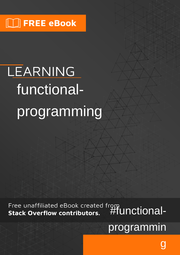# LEARNING functionalprogramming

Free unaffiliated eBook created from<br>All Hunctional-

programmin

g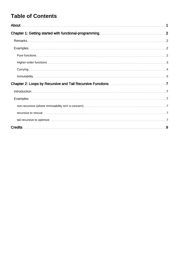# **Table of Contents**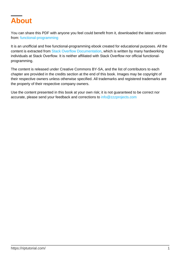<span id="page-2-0"></span>

You can share this PDF with anyone you feel could benefit from it, downloaded the latest version from: [functional-programming](http://riptutorial.com/ebook/functional-programming)

It is an unofficial and free functional-programming ebook created for educational purposes. All the content is extracted from [Stack Overflow Documentation](https://archive.org/details/documentation-dump.7z), which is written by many hardworking individuals at Stack Overflow. It is neither affiliated with Stack Overflow nor official functionalprogramming.

The content is released under Creative Commons BY-SA, and the list of contributors to each chapter are provided in the credits section at the end of this book. Images may be copyright of their respective owners unless otherwise specified. All trademarks and registered trademarks are the property of their respective company owners.

Use the content presented in this book at your own risk; it is not guaranteed to be correct nor accurate, please send your feedback and corrections to [info@zzzprojects.com](mailto:info@zzzprojects.com)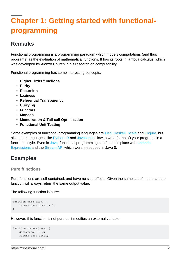# <span id="page-3-0"></span>**Chapter 1: Getting started with functionalprogramming**

### <span id="page-3-1"></span>**Remarks**

Functional programming is a programming paradigm which models computations (and thus programs) as the evaluation of mathematical functions. It has its roots in lambda calculus, which was developed by Alonzo Church in his research on computability.

Functional programming has some interesting concepts:

- **Higher Order functions**
- **Purity**
- **Recursion**
- **Laziness**
- **Referential Transparency**
- **Currying**
- **Functors**
- **Monads**
- **Memoization & Tail-call Optimization**
- **Functional Unit Testing**

Some examples of functional programming languages are [Lisp,](http://www.riptutorial.com/lisp/topic/4767/getting-started-with-lisp) [Haskell,](http://www.riptutorial.com/haskell/topic/251/getting-started-with-haskell-language) [Scala](http://www.riptutorial.com/scala/topic/216/getting-started-with-scala-language) and [Clojure](http://www.riptutorial.com/clojure/topic/827/getting-started-with-clojure), but also other languages, like [Python,](http://www.riptutorial.com/python/topic/193/getting-started-with-python-language) [R](http://www.riptutorial.com/r/topic/360/getting-started-with-r-language) and [Javascript](http://www.riptutorial.com/javascript/topic/185/getting-started-with-javascript) allow to write (parts of) your programs in a functional style. Even in [Java,](http://www.riptutorial.com/java/topic/84/getting-started-with-java-language) functional programming has found its place with [Lambda](http://www.riptutorial.com/java/topic/84/getting-started-with-java-language/91/lambda-expressions) [Expressions](http://www.riptutorial.com/java/topic/84/getting-started-with-java-language/91/lambda-expressions) and the [Stream API](http://www.riptutorial.com/java/topic/84/getting-started-with-java-language/88/streams) which were introduced in Java 8.

## <span id="page-3-2"></span>**Examples**

#### <span id="page-3-3"></span>**Pure functions**

Pure functions are self-contained, and have no side effects. Given the same set of inputs, a pure function will always return the same output value.

The following function is pure:

```
function pure(data) {
     return data.total + 3;
}
```
However, this function is not pure as it modifies an external variable:

```
function impure(data) {
  data.total += 3; return data.total;
```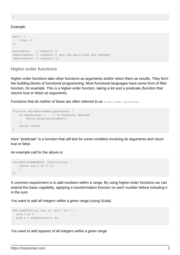#### }

#### Example:

```
data = f total: 6
};
pure(data); // outputs: 9
impure(data); // outputs: 9 (but now data.total has changed)
impure(data); // outputs: 12
```
#### <span id="page-4-0"></span>**Higher-order functions**

Higher-order functions take other functions as arguments and/or return them as results. They form the building blocks of functional programming. Most functional languages have some form of filter function, for example. This is a higher-order function, taking a list and a predicate (function that returns true or false) as arguments.

Functions that do neither of these are often referred to as first-order functions.

```
function validate(number, predicate) {
    if (predicate) { // Is Predicate defined
        return predicate(number);
    }
    return false;
}
```
Here "predicate" is a function that will test for some condition involving its arguments and return true or false.

An example call for the above is:

```
validate(someNumber, function(arg) {
  return arg % 10 == 0; }
);
```
A common requirement is to add numbers within a range. By using higher-order functions we can extend this basic capability, applying a transformation function on each number before including it in the sum.

You want to add all integers within a given range (using Scala)

```
def sumOfInts(a: Int, b: Int): Int = {
 if(a > b) 0
  else a + sumOfInts(a+1, b)
}
```
You want to add squares of all integers within a given range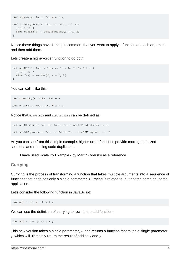```
def square(a: Int): Int = a * adef sumOfSquares(a: Int, b: Int): Int = {
 if(a > b) 0
  else square(a) + sumOfSquares(a + 1, b)
}
```
Notice these things have 1 thing in common, that you want to apply a function on each argument and then add them.

Lets create a higher-order function to do both:

```
def sumHOF(f: Int => Int, a: Int, b: Int): Int = {
 if(a > b) 0
 else f(a) + sumHOF(f, a + 1, b)
}
```
You can call it like this:

```
def identity(a: Int): Int = a
def square(a: Int): Int = a * a
```
Notice that sumOfInts and sumOfSquare can be defined as:

```
def sumOfInts(a: Int, b: Int): Int = sumHOF(identity, a, b)
def sumOfSquares(a: Int, b: Int): Int = sumHOF(square, a, b)
```
As you can see from this simple example, higher-order functions provide more generalized solutions and reducing code duplication.

I have used Scala By Example - by Martin Odersky as a reference.

#### <span id="page-5-0"></span>**Currying**

Currying is the process of transforming a function that takes multiple arguments into a sequence of functions that each has only a single parameter. Currying is related to, but not the same as, partial application.

Let's consider the following function in JavaScript:

var add =  $(x, y)$  =>  $x + y$ 

We can use the definition of currying to rewrite the add function:

var add =  $x \Rightarrow y \Rightarrow x + y$ 

This new version takes a single parameter,  $x$ , and returns a function that takes a single parameter,  $_{\rm y}$ , which will ultimately return the result of adding  $_{\rm x}$  and  $_{\rm y}$ .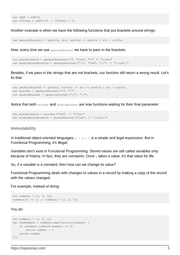```
var add5 = add(5)var fifteen = add5(10) // fifteen = 15
```
Another example is when we have the following functions that put brackets around strings:

var generalBracket = (prefix, str, suffix) => prefix + str + suffix

Now, every time we use  $q$ eneralBracket we have to pass in the brackets:

```
var bracketedJim = generalBracket("{", "Jim", "}") // "{Jim}"
var doubleBracketedJim = generalBracket("{{", "Jim", "}}") // "{{Jim}}"
```
Besides, if we pass in the strings that are not brackets, our function still return a wrong result. Let's fix that:

```
var generalBracket = (prefix, suffix) => str => prefix + str + suffix
var bracket = generalBracket("{", "}")
var doubleBracket = generalBracket("{{", "}}")
```
Notice that both **bracket and doubleBracket are now functions** waiting for their final parameter:

```
var bracketedJim = bracket("Jim") // "\{Jim\}"
var doubleBracketedJim = doubleBracket("Jim") // "{{Jim}}"
```
#### <span id="page-6-0"></span>**Immutability**

In traditional object-oriented languages,  $x = x + 1$  is a simple and legal expression. But in Functional Programming, it's illegal.

Variables don't exist in Functional Programming. Stored values are still called variables only because of history. In fact, they are constants. Once  $<sub>x</sub>$  takes a value, it's that value for life.</sub>

So, if a variable is a constant, then how can we change its value?

Functional Programming deals with changes to values in a record by making a copy of the record with the values changed.

For example, instead of doing:

```
var numbers = [1, 2, 3];
numbers[0] += 1; // numbers = [2, 2, 3];
```
You do:

```
var numbers = \begin{bmatrix} 1 \\ 2 \\ 3 \end{bmatrix};
var newNumbers = numbers.map(function(number) {
     if (numbers.indexOf(number) == 0)
          return number + 1
     return number
});
```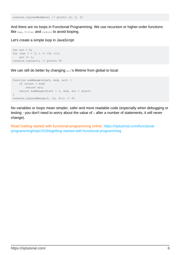console.log(newNumbers) // prints [2, 2, 3]

And there are no loops in Functional Programming. We use recursion or higher-order functions like map, filter and reduce to avoid looping.

Let's create a simple loop in JavaScript:

```
var acc = 0;for (var i = 1; i <= 10; ++i)
  acc += i:console.log(acc); // prints 55
```
We can still do better by changing acc's lifetime from global to local:

```
function sumRange(start, end, acc) {
   if (start > end)
        return acc;
    return sumRange(start + 1, end, acc + start)
}
console.log(sumRange(1, 10, 0)); // 55
```
No variables or loops mean simpler, safer and more readable code (especially when debugging or testing - you don't need to worry about the value of  $x$  after a number of statements, it will never change).

Read Getting started with functional-programming online: [https://riptutorial.com/functional](https://riptutorial.com/functional-programming/topic/3184/getting-started-with-functional-programming)[programming/topic/3184/getting-started-with-functional-programming](https://riptutorial.com/functional-programming/topic/3184/getting-started-with-functional-programming)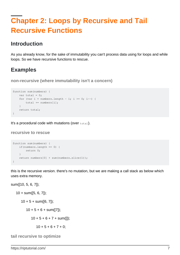# <span id="page-8-0"></span>**Chapter 2: Loops by Recursive and Tail Recursive Functions**

## <span id="page-8-1"></span>**Introduction**

As you already know, for the sake of immutability you can't process data using for loops and while loops. So we have recursive functions to rescue.

## <span id="page-8-2"></span>**Examples**

<span id="page-8-3"></span>**non-recursive (where immutability isn't a concern)**

```
function sum(numbers) {
   var total = 0;
   for (var i = numbers.length - 1; i >= 0; i--) {
       total += numbers[i];
     }
    return total;
}
```
<span id="page-8-4"></span>It's a procedural code with mutations (over  $_{\text{total}}$ ).

**recursive to rescue**

```
function sum(numbers) {
    if(numbers.length == 0) {
        return 0;
     }
     return numbers[0] + sum(numbers.slice(1));
}
```
this is the recursive version. there's no mutation, but we are making a call stack as below which uses extra memory.

```
sum([10, 5, 6, 7]);
    10 + \text{sum}([5, 6, 7]);
        10 + 5 + \text{sum}([6, 7]);
            10 + 5 + 6 + \text{sum}([7]);10 + 5 + 6 + 7 + \text{sum}([1]);
                    10 + 5 + 6 + 7 + 0;
```
<span id="page-8-5"></span>**tail recursive to optimize**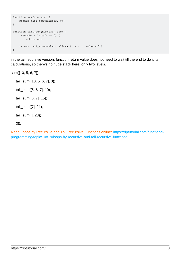```
function sum(numbers) {
    return tail_sum(numbers, 0);
}
function tail_sum(numbers, acc) {
     if(numbers.length == 0) {
        return acc;
     }
     return tail_sum(numbers.slice(1), acc + numbers[0]);
}
```
in the tail recursive version, function return value does not need to wait till the end to do it its calculations, so there's no huge stack here; only two levels.

sum([10, 5, 6, 7]);

 tail\_sum([10, 5, 6, 7], 0); tail\_sum([5, 6, 7], 10); tail\_sum([6, 7], 15); tail\_sum([7], 21); tail\_sum([], 28); 28;

Read Loops by Recursive and Tail Recursive Functions online: [https://riptutorial.com/functional](https://riptutorial.com/functional-programming/topic/10819/loops-by-recursive-and-tail-recursive-functions)[programming/topic/10819/loops-by-recursive-and-tail-recursive-functions](https://riptutorial.com/functional-programming/topic/10819/loops-by-recursive-and-tail-recursive-functions)